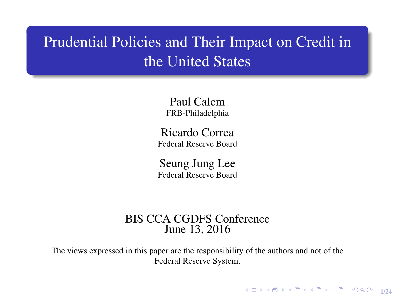# Prudential Policies and Their Impact on Credit in the United States

Paul Calem FRB-Philadelphia

Ricardo Correa Federal Reserve Board

Seung Jung Lee Federal Reserve Board

#### BIS CCA CGDFS Conference June 13, 2016

The views expressed in this paper are the responsibility of the authors and not of the Federal Reserve System.

1/24 - 1/24 - 1/24 - 1/24 - 1/24 - 1/24 - 1/24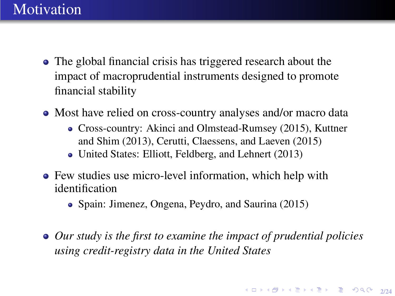#### **Motivation**

- The global financial crisis has triggered research about the impact of macroprudential instruments designed to promote financial stability
- Most have relied on cross-country analyses and/or macro data
	- Cross-country: Akinci and Olmstead-Rumsey (2015), Kuttner and Shim (2013), Cerutti, Claessens, and Laeven (2015)
	- United States: Elliott, Feldberg, and Lehnert (2013)
- Few studies use micro-level information, which help with identification
	- Spain: Jimenez, Ongena, Peydro, and Saurina (2015)
- *Our study is the first to examine the impact of prudential policies using credit-registry data in the United States*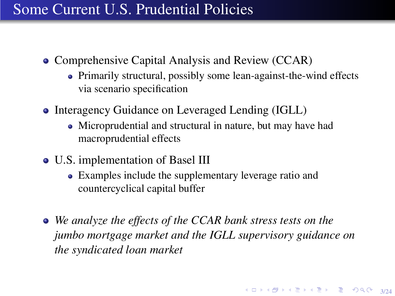## Some Current U.S. Prudential Policies

- Comprehensive Capital Analysis and Review (CCAR)
	- Primarily structural, possibly some lean-against-the-wind effects via scenario specification
- Interagency Guidance on Leveraged Lending (IGLL)
	- Microprudential and structural in nature, but may have had macroprudential effects
- U.S. implementation of Basel III
	- Examples include the supplementary leverage ratio and countercyclical capital buffer
- *We analyze the effects of the CCAR bank stress tests on the jumbo mortgage market and the IGLL supervisory guidance on the syndicated loan market*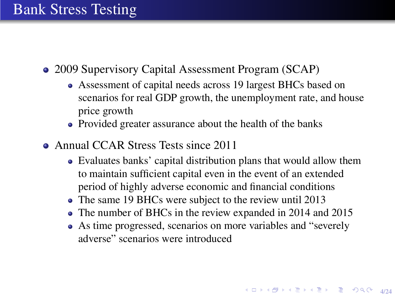### Bank Stress Testing

- 2009 Supervisory Capital Assessment Program (SCAP)
	- Assessment of capital needs across 19 largest BHCs based on scenarios for real GDP growth, the unemployment rate, and house price growth
	- Provided greater assurance about the health of the banks
- Annual CCAR Stress Tests since 2011
	- Evaluates banks' capital distribution plans that would allow them to maintain sufficient capital even in the event of an extended period of highly adverse economic and financial conditions
	- The same 19 BHCs were subject to the review until 2013
	- The number of BHCs in the review expanded in 2014 and 2015
	- As time progressed, scenarios on more variables and "severely adverse" scenarios were introduced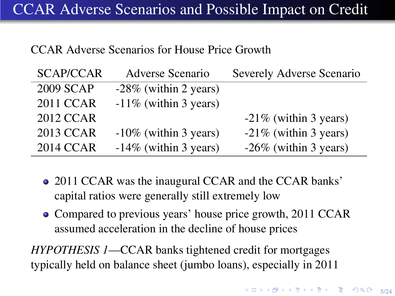#### CCAR Adverse Scenarios for House Price Growth

| <b>SCAP/CCAR</b> | Adverse Scenario         | Severely Adverse Scenario |
|------------------|--------------------------|---------------------------|
| 2009 SCAP        | $-28\%$ (within 2 years) |                           |
| 2011 CCAR        | $-11\%$ (within 3 years) |                           |
| <b>2012 CCAR</b> |                          | $-21\%$ (within 3 years)  |
| 2013 CCAR        | $-10\%$ (within 3 years) | $-21\%$ (within 3 years)  |
| <b>2014 CCAR</b> | $-14\%$ (within 3 years) | $-26\%$ (within 3 years)  |

- 2011 CCAR was the inaugural CCAR and the CCAR banks' capital ratios were generally still extremely low
- Compared to previous years' house price growth, 2011 CCAR assumed acceleration in the decline of house prices

*HYPOTHESIS 1*—CCAR banks tightened credit for mortgages typically held on balance sheet (jumbo loans), especially in 2011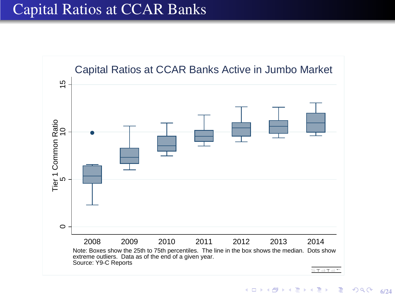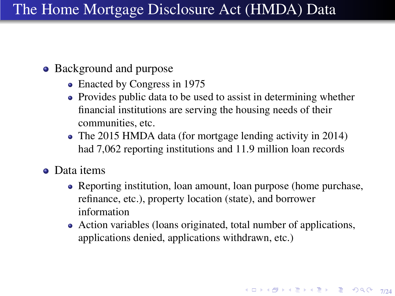- Background and purpose
	- Enacted by Congress in 1975
	- Provides public data to be used to assist in determining whether financial institutions are serving the housing needs of their communities, etc.
	- The 2015 HMDA data (for mortgage lending activity in 2014) had 7,062 reporting institutions and 11.9 million loan records
- **o** Data items
	- Reporting institution, loan amount, loan purpose (home purchase, refinance, etc.), property location (state), and borrower information
	- Action variables (loans originated, total number of applications, applications denied, applications withdrawn, etc.)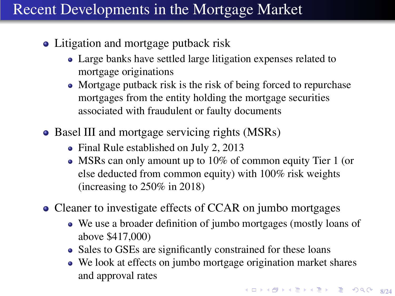# Recent Developments in the Mortgage Market

- Litigation and mortgage putback risk
	- Large banks have settled large litigation expenses related to mortgage originations
	- Mortgage putback risk is the risk of being forced to repurchase mortgages from the entity holding the mortgage securities associated with fraudulent or faulty documents
- Basel III and mortgage servicing rights (MSRs)
	- Final Rule established on July 2, 2013
	- MSRs can only amount up to 10% of common equity Tier 1 (or else deducted from common equity) with 100% risk weights (increasing to 250% in 2018)
- Cleaner to investigate effects of CCAR on jumbo mortgages
	- We use a broader definition of jumbo mortgages (mostly loans of above \$417,000)
	- Sales to GSEs are significantly constrained for these loans
	- We look at effects on jumbo mortgage origination market shares and approval rates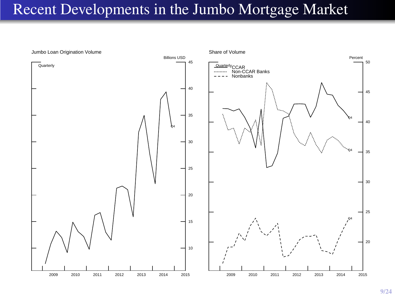### Recent Developments in the Jumbo Mortgage Market

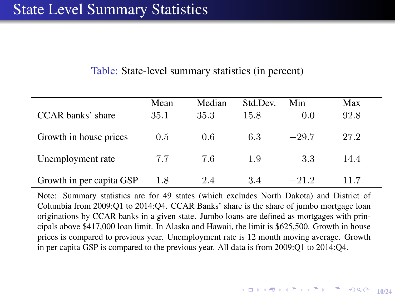#### Table: State-level summary statistics (in percent)

|                          | Mean | Median | Std.Dev. | Min     | Max  |
|--------------------------|------|--------|----------|---------|------|
| CCAR banks' share        | 35.1 | 35.3   | 15.8     | 0.0     | 92.8 |
| Growth in house prices   | 0.5  | 0.6    | 6.3      | $-29.7$ | 27.2 |
| Unemployment rate        | 7.7  | 7.6    | 1.9      | 3.3     | 14.4 |
| Growth in per capita GSP | 1.8  | 2.4    | 3.4      | $-21.2$ | 11.7 |

<span id="page-9-0"></span>Note: Summary statistics are for 49 states (which excludes North Dakota) and District of Columbia from 2009:Q1 to 2014:Q4. CCAR Banks' share is the share of jumbo mortgage loan originations by CCAR banks in a given state. Jumbo loans are defined as mortgages with principals above \$417,000 loan limit. In Alaska and Hawaii, the limit is \$625,500. Growth in house prices is compared to previous year. Unemployment rate is 12 month moving average. Growth in per capita GSP is compared to the previous year. All data is from 2009:Q1 to 2014:Q4.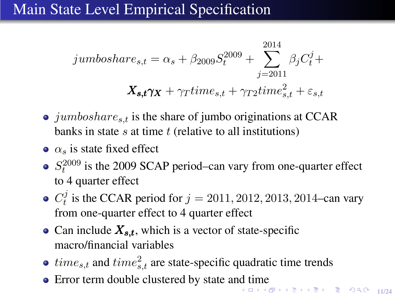## Main State Level Empirical Specification

$$
jumbosh are_{s,t} = \alpha_s + \beta_{2009} S_t^{2009} + \sum_{j=2011}^{2014} \beta_j C_t^j +
$$
  

$$
X_{s,t}\gamma_X + \gamma_T time_{s,t} + \gamma_T 2 time_{s,t}^2 + \varepsilon_{s,t}
$$

- $\bullet$  jumboshare<sub>s,t</sub> is the share of jumbo originations at CCAR banks in state  $s$  at time  $t$  (relative to all institutions)
- $\alpha$ <sub>s</sub> is state fixed effect
- $S_t^{2009}$  is the 2009 SCAP period–can vary from one-quarter effect to 4 quarter effect
- $C_t^j$  $t_i^j$  is the CCAR period for  $j = 2011, 2012, 2013, 2014$ –can vary from one-quarter effect to 4 quarter effect
- Can include  $X_{s,t}$ , which is a vector of state-specific macro/financial variables
- $time_{s,t}$  and  $time_{s,t}^2$  are state-specific quadratic time trends
- <span id="page-10-0"></span>-<br>KD X K @ X K 클 X K 클 X - 클 - ⊙ Q Q - 11/24 • Error term double clustered by state a[nd](#page-9-0) t[im](#page-11-0)[e](#page-9-0)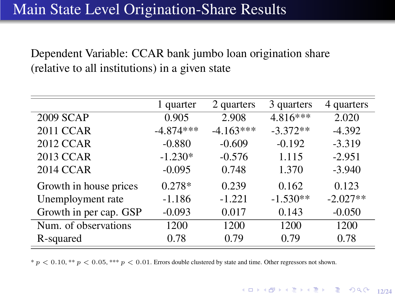### Main State Level Origination-Share Results

Dependent Variable: CCAR bank jumbo loan origination share (relative to all institutions) in a given state

|                        | 1 quarter   | 2 quarters  | 3 quarters | 4 quarters |
|------------------------|-------------|-------------|------------|------------|
| 2009 SCAP              | 0.905       | 2.908       | $4.816***$ | 2.020      |
| 2011 CCAR              | $-4.874***$ | $-4.163***$ | $-3.372**$ | $-4.392$   |
| 2012 CCAR              | $-0.880$    | $-0.609$    | $-0.192$   | $-3.319$   |
| 2013 CCAR              | $-1.230*$   | $-0.576$    | 1.115      | $-2.951$   |
| 2014 CCAR              | $-0.095$    | 0.748       | 1.370      | $-3.940$   |
| Growth in house prices | $0.278*$    | 0.239       | 0.162      | 0.123      |
| Unemployment rate      | $-1.186$    | $-1.221$    | $-1.530**$ | $-2.027**$ |
| Growth in per cap. GSP | $-0.093$    | 0.017       | 0.143      | $-0.050$   |
| Num. of observations   | 1200        | 1200        | 1200       | 1200       |
| R-squared              | 0.78        | 0.79        | 0.79       | 0.78       |

<span id="page-11-0"></span> $* p < 0.10, ** p < 0.05, *** p < 0.01$ . Errors double clustered by state and time. Other regressors not shown.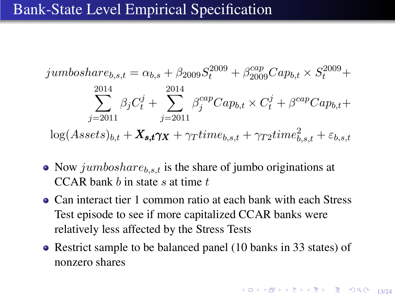#### Bank-State Level Empirical Specification

jumboshare<sub>b,s,t</sub> = 
$$
\alpha_{b,s} + \beta_{2009} S_t^{2009} + \beta_{2009}^{cap} Cap_{b,t} \times S_t^{2009} +
$$
  
\n
$$
\sum_{j=2011}^{2014} \beta_j C_t^j + \sum_{j=2011}^{2014} \beta_j^{cap} Cap_{b,t} \times C_t^j + \beta^{cap} Cap_{b,t} +
$$
\n
$$
\log(Assets)_{b,t} + \mathbf{X}_{s,t} \gamma_{X} + \gamma_{T} time_{b,s,t} + \gamma_{T2} time_{b,s,t}^2 + \varepsilon_{b,s,t}
$$

- Now jumboshare $b_{b,s,t}$  is the share of jumbo originations at CCAR bank  $b$  in state  $s$  at time  $t$
- Can interact tier 1 common ratio at each bank with each Stress Test episode to see if more capitalized CCAR banks were relatively less affected by the Stress Tests
- Restrict sample to be balanced panel (10 banks in 33 states) of nonzero shares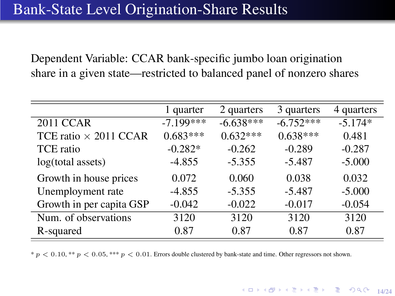Dependent Variable: CCAR bank-specific jumbo loan origination share in a given state—restricted to balanced panel of nonzero shares

|                              | 1 quarter   | 2 quarters  | 3 quarters  | 4 quarters |
|------------------------------|-------------|-------------|-------------|------------|
| 2011 CCAR                    | $-7.199***$ | $-6.638***$ | $-6.752***$ | $-5.174*$  |
| TCE ratio $\times$ 2011 CCAR | $0.683***$  | $0.632***$  | $0.638***$  | 0.481      |
| TCE ratio                    | $-0.282*$   | $-0.262$    | $-0.289$    | $-0.287$   |
| log(total assets)            | $-4.855$    | $-5.355$    | $-5.487$    | $-5.000$   |
| Growth in house prices       | 0.072       | 0.060       | 0.038       | 0.032      |
| Unemployment rate            | $-4.855$    | $-5.355$    | $-5.487$    | $-5.000$   |
| Growth in per capita GSP     | $-0.042$    | $-0.022$    | $-0.017$    | $-0.054$   |
| Num. of observations         | 3120        | 3120        | 3120        | 3120       |
| R-squared                    | 0.87        | 0.87        | 0.87        | 0.87       |

\*  $p < 0.10$ . \*\*  $p < 0.05$ , \*\*\*  $p < 0.01$ . Errors double clustered by bank-state and time. Other regressors not shown.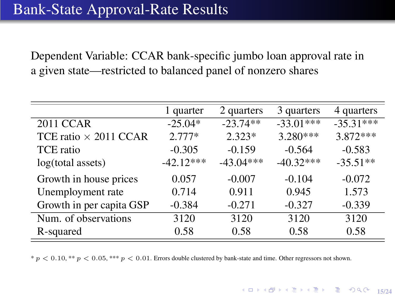Dependent Variable: CCAR bank-specific jumbo loan approval rate in a given state—restricted to balanced panel of nonzero shares

|                              | 1 quarter   | 2 quarters  | 3 quarters  | 4 quarters  |
|------------------------------|-------------|-------------|-------------|-------------|
| 2011 CCAR                    | $-25.04*$   | $-23.74**$  | $-33.01***$ | $-35.31***$ |
| TCE ratio $\times$ 2011 CCAR | $2.777*$    | $2.323*$    | 3.280***    | $3.872***$  |
| TCE ratio                    | $-0.305$    | $-0.159$    | $-0.564$    | $-0.583$    |
| log(total assets)            | $-42.12***$ | $-43.04***$ | $-40.32***$ | $-35.51**$  |
| Growth in house prices       | 0.057       | $-0.007$    | $-0.104$    | $-0.072$    |
| Unemployment rate            | 0.714       | 0.911       | 0.945       | 1.573       |
| Growth in per capita GSP     | $-0.384$    | $-0.271$    | $-0.327$    | $-0.339$    |
| Num. of observations         | 3120        | 3120        | 3120        | 3120        |
| R-squared                    | 0.58        | 0.58        | 0.58        | 0.58        |

 $* p < 0.10, ** p < 0.05, *** p < 0.01$ . Errors double clustered by bank-state and time. Other regressors not shown.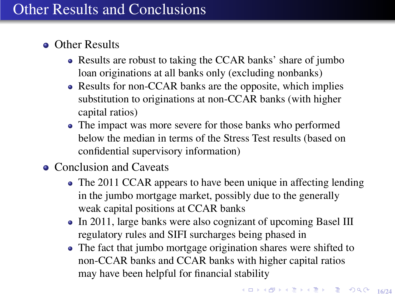## Other Results and Conclusions

- **o** Other Results
	- Results are robust to taking the CCAR banks' share of jumbo loan originations at all banks only (excluding nonbanks)
	- Results for non-CCAR banks are the opposite, which implies substitution to originations at non-CCAR banks (with higher capital ratios)
	- The impact was more severe for those banks who performed below the median in terms of the Stress Test results (based on confidential supervisory information)
- Conclusion and Caveats
	- The 2011 CCAR appears to have been unique in affecting lending in the jumbo mortgage market, possibly due to the generally weak capital positions at CCAR banks
	- In 2011, large banks were also cognizant of upcoming Basel III regulatory rules and SIFI surcharges being phased in
	- The fact that jumbo mortgage origination shares were shifted to non-CCAR banks and CCAR banks with higher capital ratios may have been helpful for financial stability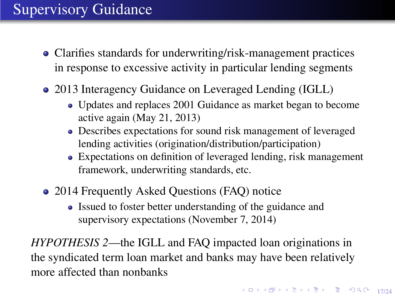# Supervisory Guidance

- Clarifies standards for underwriting/risk-management practices in response to excessive activity in particular lending segments
- 2013 Interagency Guidance on Leveraged Lending (IGLL)
	- Updates and replaces 2001 Guidance as market began to become active again (May 21, 2013)
	- Describes expectations for sound risk management of leveraged lending activities (origination/distribution/participation)
	- Expectations on definition of leveraged lending, risk management framework, underwriting standards, etc.
- 2014 Frequently Asked Questions (FAQ) notice
	- Issued to foster better understanding of the guidance and supervisory expectations (November 7, 2014)

*HYPOTHESIS 2*—the IGLL and FAQ impacted loan originations in the syndicated term loan market and banks may have been relatively more affected than nonbanks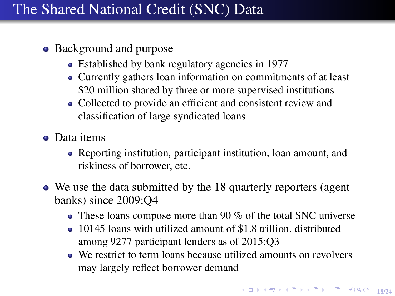## The Shared National Credit (SNC) Data

#### • Background and purpose

- Established by bank regulatory agencies in 1977
- Currently gathers loan information on commitments of at least \$20 million shared by three or more supervised institutions
- Collected to provide an efficient and consistent review and classification of large syndicated loans
- Data items
	- Reporting institution, participant institution, loan amount, and riskiness of borrower, etc.
- We use the data submitted by the 18 quarterly reporters (agent banks) since 2009:Q4
	- These loans compose more than 90 % of the total SNC universe
	- 10145 loans with utilized amount of \$1.8 trillion, distributed among 9277 participant lenders as of 2015:Q3
	- We restrict to term loans because utilized amounts on revolvers may largely reflect borrower demand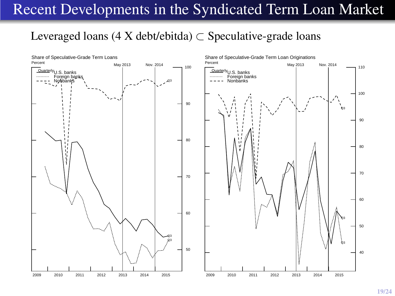## Recent Developments in the Syndicated Term Loan Market

#### Leveraged loans (4 X debt/ebitda)  $\subset$  Speculative-grade loans



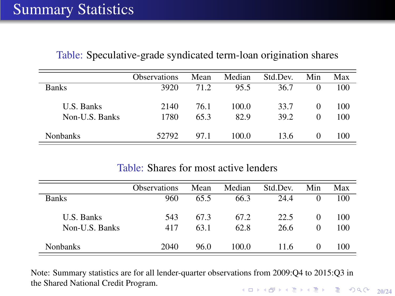|                              | <b>Observations</b> | Mean         | Median        | Std.Dev.     | Min           | Max        |
|------------------------------|---------------------|--------------|---------------|--------------|---------------|------------|
| <b>Banks</b>                 | 3920                | 71.2         | 95.5          | 36.7         | 0             | 100        |
| U.S. Banks<br>Non-U.S. Banks | 2140<br>1780        | 76.1<br>65.3 | 100.0<br>82.9 | 33.7<br>39.2 | $\Omega$<br>0 | 100<br>100 |
| <b>Nonbanks</b>              | 52792               | 97.1         | 100.0         | 13.6         | 0             | 100        |

Table: Speculative-grade syndicated term-loan origination shares

#### Table: Shares for most active lenders

|                              | <b>Observations</b> | Mean         | Median       | Std.Dev.     | Min           | Max        |
|------------------------------|---------------------|--------------|--------------|--------------|---------------|------------|
| <b>Banks</b>                 | 960                 | 65.5         | 66.3         | 24.4         | 0             | 100        |
| U.S. Banks<br>Non-U.S. Banks | 543<br>417          | 67.3<br>63.1 | 67.2<br>62.8 | 22.5<br>26.6 | 0<br>$\Omega$ | 100<br>100 |
| <b>Nonbanks</b>              | 2040                | 96.0         | 100.0        | 11.6         | 0             | 100        |

Note: Summary statistics are for all lender-quarter observations from 2009:Q4 to 2015:Q3 in the Shared National Credit Program.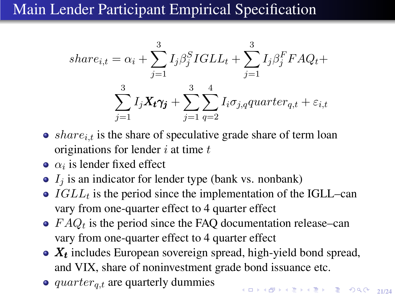## Main Lender Participant Empirical Specification

$$
share_{i,t} = \alpha_i + \sum_{j=1}^3 I_j \beta_j^S IGLL_t + \sum_{j=1}^3 I_j \beta_j^F FAQ_t +
$$
  

$$
\sum_{j=1}^3 I_j \mathbf{X}_t \gamma_j + \sum_{j=1}^3 \sum_{q=2}^4 I_i \sigma_{j,q} quarter_{q,t} + \varepsilon_{i,t}
$$

- $\bullet$  *share<sub>it</sub>* is the share of speculative grade share of term loan originations for lender  $i$  at time  $t$
- $\alpha_i$  is lender fixed effect
- $\bullet$   $I_i$  is an indicator for lender type (bank vs. nonbank)
- $IGLL_t$  is the period since the implementation of the IGLL–can vary from one-quarter effect to 4 quarter effect
- $FAQ_t$  is the period since the FAQ documentation release–can vary from one-quarter effect to 4 quarter effect
- $X_t$  includes European sovereign spread, high-yield bond spread, and VIX, share of noninvestment grade bond issuance etc.
- $\bullet$  quarter<sub>q,t</sub> are quarterly dummies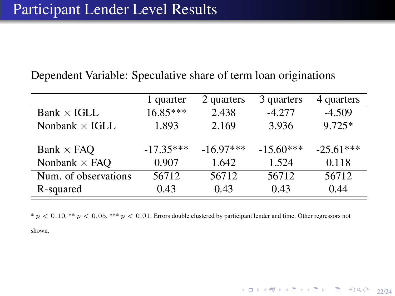|                       | 1 quarter   | 2 quarters  | 3 quarters  | 4 quarters  |
|-----------------------|-------------|-------------|-------------|-------------|
| $Bank \times IGLL$    | $16.85***$  | 2.438       | $-4.277$    | $-4.509$    |
| Nonbank $\times$ IGLL | 1.893       | 2.169       | 3.936       | $9.725*$    |
| Bank $\times$ FAQ     | $-17.35***$ | $-16.97***$ | $-15.60***$ | $-25.61***$ |
| Nonbank $\times$ FAQ  | 0.907       | 1.642       | 1.524       | 0.118       |
| Num. of observations  | 56712       | 56712       | 56712       | 56712       |
| R-squared             | 0.43        | 0.43        | 0.43        | 0.44        |

Dependent Variable: Speculative share of term loan originations

 $p < 0.10$ , \*\*  $p < 0.05$ , \*\*\*  $p < 0.01$ . Errors double clustered by participant lender and time. Other regressors not

4 ロ → 4 @ ▶ 4 로 ▶ 4 로 ▶ - 로 - 9 Q @ - 22/24

shown.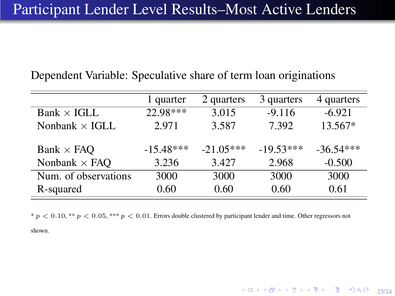| Dependent Variable: Speculative share of term loan originations |  |  |  |  |
|-----------------------------------------------------------------|--|--|--|--|
|-----------------------------------------------------------------|--|--|--|--|

|                       | 1 quarter   | 2 quarters  | 3 quarters  | 4 quarters  |
|-----------------------|-------------|-------------|-------------|-------------|
| $Bank \times IGLL$    | 22.98***    | 3.015       | $-9.116$    | $-6.921$    |
| Nonbank $\times$ IGLL | 2.971       | 3.587       | 7.392       | 13.567*     |
| Bank $\times$ FAQ     | $-15.48***$ | $-21.05***$ | $-19.53***$ | $-36.54***$ |
| Nonbank $\times$ FAQ  | 3.236       | 3.427       | 2.968       | $-0.500$    |
| Num. of observations  | 3000        | 3000        | 3000        | 3000        |
| R-squared             | 0.60        | 0.60        | 0.60        | 0.61        |

 $p < 0.10$ , \*\*  $p < 0.05$ , \*\*\*  $p < 0.01$ . Errors double clustered by participant lender and time. Other regressors not

4 ロ → 4 @ → 4 로 → 4 로 → 23 → 23/24

shown.